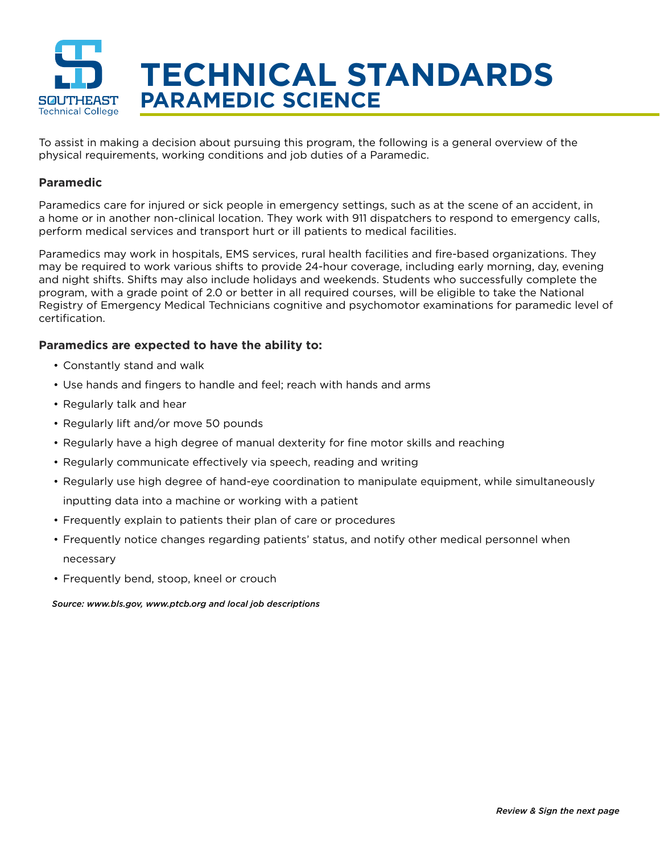

To assist in making a decision about pursuing this program, the following is a general overview of the physical requirements, working conditions and job duties of a Paramedic.

## **Paramedic**

Paramedics care for injured or sick people in emergency settings, such as at the scene of an accident, in a home or in another non-clinical location. They work with 911 dispatchers to respond to emergency calls, perform medical services and transport hurt or ill patients to medical facilities.

Paramedics may work in hospitals, EMS services, rural health facilities and fire-based organizations. They may be required to work various shifts to provide 24-hour coverage, including early morning, day, evening and night shifts. Shifts may also include holidays and weekends. Students who successfully complete the program, with a grade point of 2.0 or better in all required courses, will be eligible to take the National Registry of Emergency Medical Technicians cognitive and psychomotor examinations for paramedic level of certification.

## **Paramedics are expected to have the ability to:**

- Constantly stand and walk
- Use hands and fingers to handle and feel; reach with hands and arms
- Regularly talk and hear
- Regularly lift and/or move 50 pounds
- Regularly have a high degree of manual dexterity for fine motor skills and reaching
- Regularly communicate effectively via speech, reading and writing
- Regularly use high degree of hand-eye coordination to manipulate equipment, while simultaneously inputting data into a machine or working with a patient
- Frequently explain to patients their plan of care or procedures
- Frequently notice changes regarding patients' status, and notify other medical personnel when necessary
- Frequently bend, stoop, kneel or crouch

## *Source: www.bls.gov, www.ptcb.org and local job descriptions*